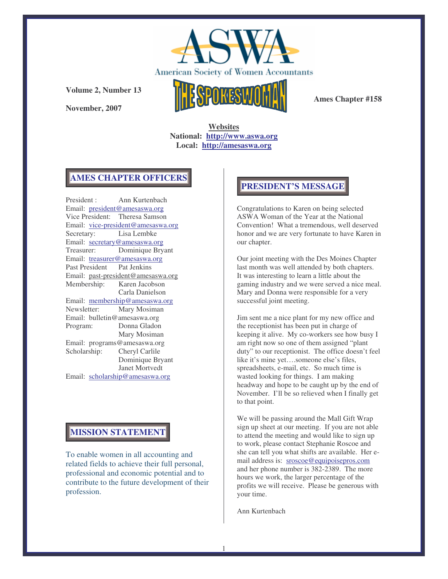

**November, 2007**



**Ames Chapter #158**

**Websites National: http://www.aswa.org Local: http://amesaswa.org**

## **AMES CHAPTER OFFICERS**

President : Ann Kurtenbach Email: president@amesaswa.org Vice President: Theresa Samson Email: vice-president@amesaswa.org Secretary: Lisa Lembke Email: secretary@amesaswa.org Treasurer: Dominique Bryant Email: treasurer@amesaswa.org Past President Pat Jenkins Email: past-president@amesaswa.org Membership: Karen Jacobson Carla Danielson Email: membership@amesaswa.org<br>Newsletter: Mary Mosiman Mary Mosiman Email: bulletin@amesaswa.org Program: Donna Gladon Mary Mosiman Email: programs@amesaswa.org Scholarship: Cheryl Carlile Dominique Bryant Janet Mortvedt Email: scholarship@amesaswa.org

## **MISSION STATEMENT**

To enable women in all accounting and related fields to achieve their full personal, professional and economic potential and to contribute to the future development of their profession.

## **PRESIDENT'S MESSAGE**

Congratulations to Karen on being selected ASWA Woman of the Year at the National Convention! What a tremendous, well deserved honor and we are very fortunate to have Karen in our chapter.

Our joint meeting with the Des Moines Chapter last month was well attended by both chapters. It was interesting to learn a little about the gaming industry and we were served a nice meal. Mary and Donna were responsible for a very successful joint meeting.

Jim sent me a nice plant for my new office and the receptionist has been put in charge of keeping it alive. My co-workers see how busy I am right now so one of them assigned "plant duty" to our receptionist. The office doesn't feel like it's mine yet….someone else's files, spreadsheets, e-mail, etc. So much time is wasted looking for things. I am making headway and hope to be caught up by the end of November. I'll be so relieved when I finally get to that point.

We will be passing around the Mall Gift Wrap sign up sheet at our meeting. If you are not able to attend the meeting and would like to sign up to work, please contact Stephanie Roscoe and she can tell you what shifts are available. Her email address is: sroscoe@equipoisepros.com and her phone number is 382-2389. The more hours we work, the larger percentage of the profits we will receive. Please be generous with your time.

Ann Kurtenbach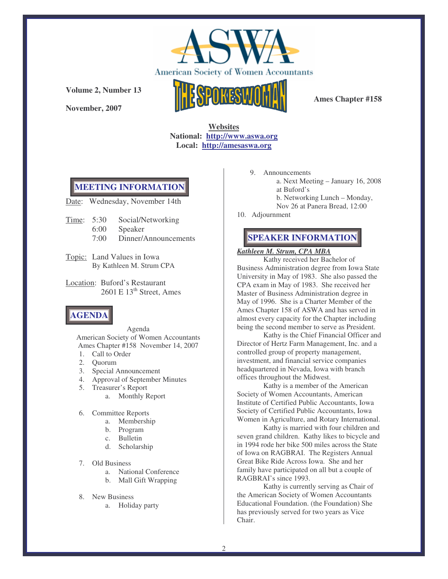

**November, 2007**



**Ames Chapter #158**

**Websites National: http://www.aswa.org Local: http://amesaswa.org**

## **MEETING INFORMATION**

Date: Wednesday, November 14th

- Time: 5:30 Social/Networking
	- 6:00 Speaker
	- 7:00 Dinner/Announcements
- Topic: Land Values in Iowa By Kathleen M. Strum CPA
- Location: Buford's Restaurant 2601 E 13<sup>th</sup> Street, Ames

# **AGENDA**

Agenda American Society of Women Accountants Ames Chapter #158 November 14, 2007

- 1. Call to Order
- 2. Quorum
- 3. Special Announcement
- 4. Approval of September Minutes
- 5. Treasurer's Report
	- a. Monthly Report
- 6. Committee Reports
	- a. Membership
	- b. Program
	- c. Bulletin
	- d. Scholarship
- 7. Old Business
	- a. National Conference
	- b. Mall Gift Wrapping
- 8. New Business
	- a. Holiday party
- 9. Announcements a. Next Meeting – January 16, 2008 at Buford's b. Networking Lunch – Monday, Nov 26 at Panera Bread, 12:00
- 10. Adjournment

# **SPEAKER INFORMATION**

## *Kathleen M. Strum, CPA MBA*

Kathy received her Bachelor of Business Administration degree from Iowa State University in May of 1983. She also passed the CPA exam in May of 1983. She received her Master of Business Administration degree in May of 1996. She is a Charter Member of the Ames Chapter 158 of ASWA and has served in almost every capacity for the Chapter including being the second member to serve as President.

Kathy is the Chief Financial Officer and Director of Hertz Farm Management, Inc. and a controlled group of property management, investment, and financial service companies headquartered in Nevada, Iowa with branch offices throughout the Midwest.

Kathy is a member of the American Society of Women Accountants, American Institute of Certified Public Accountants, Iowa Society of Certified Public Accountants, Iowa Women in Agriculture, and Rotary International.

Kathy is married with four children and seven grand children. Kathy likes to bicycle and in 1994 rode her bike 500 miles across the State of Iowa on RAGBRAI. The Registers Annual Great Bike Ride Across Iowa. She and her family have participated on all but a couple of RAGBRAI's since 1993.

Kathy is currently serving as Chair of the American Society of Women Accountants Educational Foundation. (the Foundation) She has previously served for two years as Vice Chair.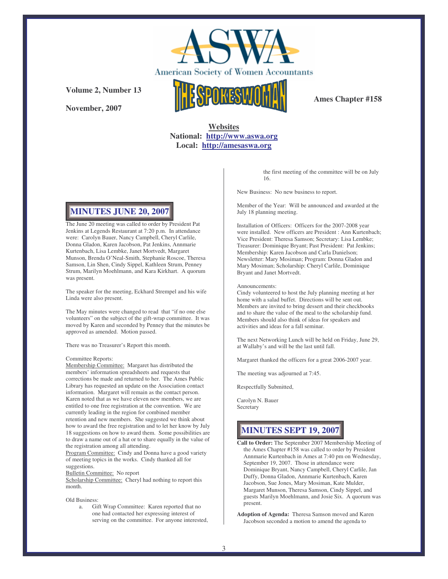

**November, 2007**



**Ames Chapter #158**

## **Websites National: http://www.aswa.org Local: http://amesaswa.org**

**MINUTES JUNE 20, 2007**

The June 20 meeting was called to order by President Pat Jenkins at Legends Restaurant at 7:20 p.m. In attendance were: Carolyn Bauer, Nancy Campbell, Cheryl Carlile, Donna Gladon, Karen Jacobson, Pat Jenkins, Annmarie Kurtenbach, Lisa Lembke, Janet Mortvedt, Margaret Munson, Brenda O'Neal-Smith, Stephanie Roscoe, Theresa Samson, Lin Shen, Cindy Sippel, Kathleen Strum, Penney Strum, Marilyn Moehlmann, and Kara Kirkhart. A quorum was present.

The speaker for the meeting, Eckhard Strempel and his wife Linda were also present.

The May minutes were changed to read that "if no one else volunteers" on the subject of the gift-wrap committee. It was moved by Karen and seconded by Penney that the minutes be approved as amended. Motion passed.

There was no Treasurer's Report this month.

#### Committee Reports:

Membership Committee: Margaret has distributed the members' information spreadsheets and requests that corrections be made and returned to her. The Ames Public Library has requested an update on the Association contact information. Margaret will remain as the contact person. Karen noted that as we have eleven new members, we are entitled to one free registration at the convention. We are currently leading in the region for combined member retention and new members. She suggested we think about how to award the free registration and to let her know by July 18 suggestions on how to award them. Some possibilities are to draw a name out of a hat or to share equally in the value of the registration among all attending.

Program Committee: Cindy and Donna have a good variety of meeting topics in the works. Cindy thanked all for suggestions.

Bulletin Committee: No report

Scholarship Committee: Cheryl had nothing to report this month.

Old Business:

a. Gift Wrap Committee: Karen reported that no one had contacted her expressing interest of serving on the committee. For anyone interested, the first meeting of the committee will be on July 16.

New Business: No new business to report.

Member of the Year: Will be announced and awarded at the July 18 planning meeting.

Installation of Officers: Officers for the 2007-2008 year were installed. New officers are President : Ann Kurtenbach; Vice President: Theresa Samson; Secretary: Lisa Lembke; Treasurer: Dominique Bryant; Past President: Pat Jenkins; Membership: Karen Jacobson and Carla Danielson; Newsletter: Mary Mosiman; Program: Donna Gladon and Mary Mosiman; Scholarship: Cheryl Carlile, Dominique Bryant and Janet Mortvedt.

Announcements:

Cindy volunteered to host the July planning meeting at her home with a salad buffet. Directions will be sent out. Members are invited to bring dessert and their checkbooks and to share the value of the meal to the scholarship fund. Members should also think of ideas for speakers and activities and ideas for a fall seminar.

The next Networking Lunch will be held on Friday, June 29, at Wallaby's and will be the last until fall.

Margaret thanked the officers for a great 2006-2007 year.

The meeting was adjourned at 7:45.

Respectfully Submitted,

Carolyn N. Bauer Secretary

# **MINUTES SEPT 19, 2007**

- **Call to Order:** The September 2007 Membership Meeting of the Ames Chapter #158 was called to order by President Annmarie Kurtenbach in Ames at 7:40 pm on Wednesday, September 19, 2007. Those in attendance were Dominique Bryant, Nancy Campbell, Cheryl Carlile, Jan Duffy, Donna Gladon, Annmarie Kurtenbach, Karen Jacobson, Sue Jones, Mary Mosiman, Kate Mulder, Margaret Munson, Theresa Samson, Cindy Sippel, and guests Marilyn Moehlmann, and Josie Six. A quorum was present.
- **Adoption of Agenda:** Theresa Samson moved and Karen Jacobson seconded a motion to amend the agenda to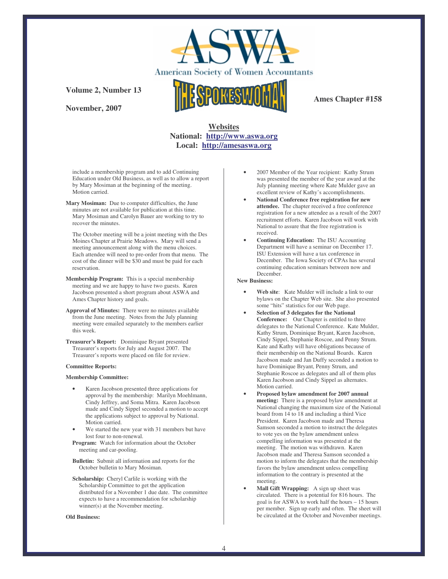

**November, 2007**



**Ames Chapter #158**

## **Websites National: http://www.aswa.org Local: http://amesaswa.org**

include a membership program and to add Continuing Education under Old Business, as well as to allow a report by Mary Mosiman at the beginning of the meeting. Motion carried.

**Mary Mosiman:** Due to computer difficulties, the June minutes are not available for publication at this time. Mary Mosiman and Carolyn Bauer are working to try to recover the minutes.

The October meeting will be a joint meeting with the Des Moines Chapter at Prairie Meadows. Mary will send a meeting announcement along with the menu choices. Each attendee will need to pre-order from that menu. The cost of the dinner will be \$30 and must be paid for each reservation.

- **Membership Program:** This is a special membership meeting and we are happy to have two guests. Karen Jacobson presented a short program about ASWA and Ames Chapter history and goals.
- **Approval of Minutes:** There were no minutes available from the June meeting. Notes from the July planning meeting were emailed separately to the members earlier this week.
- **Treasurer's Report:** Dominique Bryant presented Treasurer's reports for July and August 2007. The Treasurer's reports were placed on file for review.

### **Committee Reports:**

### **Membership Committee:**

- Karen Jacobson presented three applications for approval by the membership: Marilyn Moehlmann, Cindy Jeffrey, and Soma Mitra. Karen Jacobson made and Cindy Sippel seconded a motion to accept the applications subject to approval by National. Motion carried.
- We started the new year with 31 members but have lost four to non-renewal.
- **Program:** Watch for information about the October meeting and car-pooling.

**Bulletin:** Submit all information and reports for the October bulletin to Mary Mosiman.

**Scholarship:** Cheryl Carlile is working with the Scholarship Committee to get the application distributed for a November 1 due date. The committee expects to have a recommendation for scholarship winner(s) at the November meeting.

#### **Old Business:**

- 2007 Member of the Year recipient: Kathy Strum was presented the member of the year award at the July planning meeting where Kate Mulder gave an excellent review of Kathy's accomplishments.
- **National Conference free registration for new attendee.** The chapter received a free conference registration for a new attendee as a result of the 2007 recruitment efforts. Karen Jacobson will work with National to assure that the free registration is received.
- **Continuing Education:** The ISU Accounting Department will have a seminar on December 17. ISU Extension will have a tax conference in December. The Iowa Society of CPAs has several continuing education seminars between now and December.

#### **New Business:**

- **Web site**: Kate Mulder will include a link to our bylaws on the Chapter Web site. She also presented some "hits" statistics for our Web page.
- **Selection of 3 delegates for the National Conference:** Our Chapter is entitled to three delegates to the National Conference. Kate Mulder, Kathy Strum, Dominique Bryant, Karen Jacobson, Cindy Sippel, Stephanie Roscoe, and Penny Strum. Kate and Kathy will have obligations because of their membership on the National Boards. Karen Jacobson made and Jan Duffy seconded a motion to have Dominique Bryant, Penny Strum, and Stephanie Roscoe as delegates and all of them plus Karen Jacobson and Cindy Sippel as alternates. Motion carried.
- **Proposed bylaw amendment for 2007 annual meeting:** There is a proposed bylaw amendment at National changing the maximum size of the National board from 14 to 18 and including a third Vice President. Karen Jacobson made and Theresa Samson seconded a motion to instruct the delegates to vote yes on the bylaw amendment unless compelling information was presented at the meeting. The motion was withdrawn. Karen Jacobson made and Theresa Samson seconded a motion to inform the delegates that the membership favors the bylaw amendment unless compelling information to the contrary is presented at the meeting.
- **Mall Gift Wrapping:** A sign up sheet was circulated. There is a potential for 816 hours. The goal is for ASWA to work half the hours – 15 hours per member. Sign up early and often. The sheet will be circulated at the October and November meetings.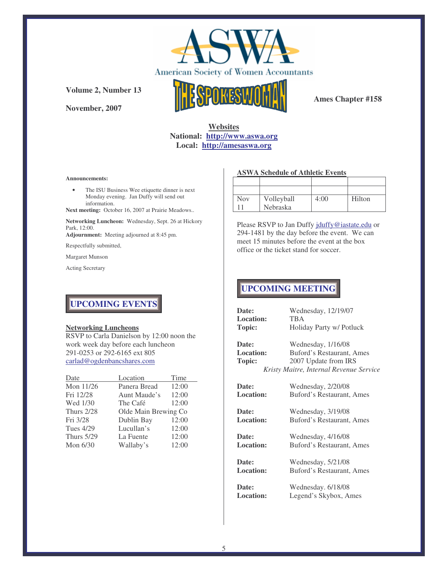

**November, 2007**



**Ames Chapter #158**

## **Websites National: http://www.aswa.org Local: http://amesaswa.org**

### **Announcements:**

• The ISU Business Wee etiquette dinner is next Monday evening. Jan Duffy will send out information.

**Next meeting:** October 16, 2007 at Prairie Meadows..

**Networking Luncheon:** Wednesday, Sept. 26 at Hickory Park, 12:00.

**Adjournment:** Meeting adjourned at 8:45 pm.

Respectfully submitted,

Margaret Munson

Acting Secretary

## **ASWA Schedule of Athletic Events**

| <b>Nov</b> | Volleyball      | 4:00 | Hilton |
|------------|-----------------|------|--------|
|            | <b>Nebraska</b> |      |        |

Please RSVP to Jan Duffy jduffy@iastate.edu or 294-1481 by the day before the event. We can meet 15 minutes before the event at the box office or the ticket stand for soccer.

# **UPCOMING MEETING**

# **UPCOMING EVENTS**

### **Networking Luncheons**

RSVP to Carla Danielson by 12:00 noon the work week day before each luncheon 291-0253 or 292-6165 ext 805 carlad@ogdenbancshares.com

| Date              | Location             | Time  |
|-------------------|----------------------|-------|
| Mon 11/26         | Panera Bread         | 12:00 |
| Fri 12/28         | Aunt Maude's         | 12:00 |
| Wed 1/30          | The Café             | 12:00 |
| <b>Thurs 2/28</b> | Olde Main Brewing Co |       |
| Fri 3/28          | Dublin Bay           | 12:00 |
| <b>Tues 4/29</b>  | Lucullan's           | 12:00 |
| <b>Thurs 5/29</b> | La Fuente            | 12:00 |
| Mon $6/30$        | Wallaby's            | 12:00 |

| Date:            | Wednesday, 12/19/07                     |
|------------------|-----------------------------------------|
| <b>Location:</b> | <b>TBA</b>                              |
| Topic:           | Holiday Party w/ Potluck                |
| Date:            | Wednesday, 1/16/08                      |
| <b>Location:</b> | Buford's Restaurant, Ames               |
| Topic:           | 2007 Update from IRS                    |
|                  | Kristy Maitre, Internal Revenue Service |
|                  |                                         |
| Date:            | Wednesday, 2/20/08                      |
| <b>Location:</b> | Buford's Restaurant, Ames               |
|                  |                                         |
| Date:            | Wednesday, 3/19/08                      |
| <b>Location:</b> | Buford's Restaurant, Ames               |
|                  |                                         |
| Date:            | Wednesday, 4/16/08                      |
| <b>Location:</b> | Buford's Restaurant, Ames               |
|                  |                                         |
| Date:            | Wednesday, 5/21/08                      |
| <b>Location:</b> | Buford's Restaurant, Ames               |
|                  |                                         |
| Date:            | Wednesday. 6/18/08                      |
| <b>Location:</b> | Legend's Skybox, Ames                   |
|                  |                                         |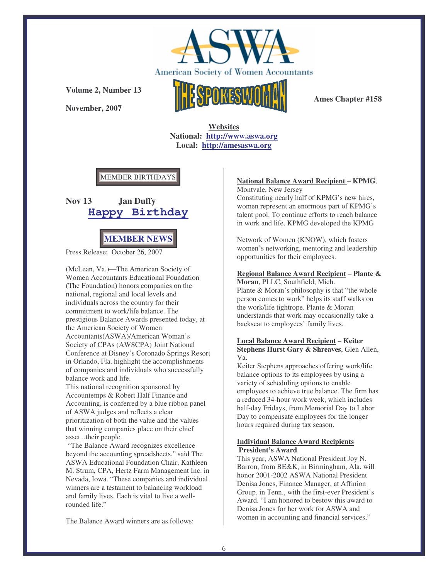

**November, 2007**



**Ames Chapter #158**

**Websites National: http://www.aswa.org Local: http://amesaswa.org**

## MEMBER BIRTHDAYS





Press Release: October 26, 2007

(McLean, Va.)—The American Society of Women Accountants Educational Foundation (The Foundation) honors companies on the national, regional and local levels and individuals across the country for their commitment to work/life balance. The prestigious Balance Awards presented today, at the American Society of Women Accountants(ASWA)/American Woman's Society of CPAs (AWSCPA) Joint National Conference at Disney's Coronado Springs Resort in Orlando, Fla. highlight the accomplishments of companies and individuals who successfully balance work and life.

This national recognition sponsored by Accountemps & Robert Half Finance and Accounting, is conferred by a blue ribbon panel of ASWA judges and reflects a clear prioritization of both the value and the values that winning companies place on their chief asset...their people.

"The Balance Award recognizes excellence beyond the accounting spreadsheets," said The ASWA Educational Foundation Chair, Kathleen M. Strum, CPA, Hertz Farm Management Inc. in Nevada, Iowa. "These companies and individual winners are a testament to balancing workload and family lives. Each is vital to live a wellrounded life."

The Balance Award winners are as follows:

### **National Balance Award Recipient** – **KPMG**, Montvale, New Jersey

Constituting nearly half of KPMG's new hires, women represent an enormous part of KPMG's talent pool. To continue efforts to reach balance in work and life, KPMG developed the KPMG

Network of Women (KNOW), which fosters women's networking, mentoring and leadership opportunities for their employees.

## **Regional Balance Award Recipient** – **Plante &**

**Moran**, PLLC, Southfield, Mich. Plante & Moran's philosophy is that "the whole person comes to work" helps its staff walks on the work/life tightrope. Plante & Moran understands that work may occasionally take a backseat to employees' family lives.

### **Local Balance Award Recipient** – **Keiter Stephens Hurst Gary & Shreaves**, Glen Allen, Va.

Keiter Stephens approaches offering work/life balance options to its employees by using a variety of scheduling options to enable employees to achieve true balance. The firm has a reduced 34-hour work week, which includes half-day Fridays, from Memorial Day to Labor Day to compensate employees for the longer hours required during tax season.

### **Individual Balance Award Recipients President's Award**

This year, ASWA National President Joy N. Barron, from BE&K, in Birmingham, Ala. will honor 2001-2002 ASWA National President Denisa Jones, Finance Manager, at Affinion Group, in Tenn., with the first-ever President's Award. "I am honored to bestow this award to Denisa Jones for her work for ASWA and women in accounting and financial services,"